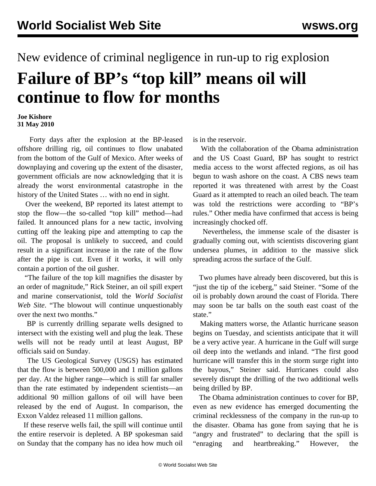## New evidence of criminal negligence in run-up to rig explosion **Failure of BP's "top kill" means oil will continue to flow for months**

## **Joe Kishore 31 May 2010**

 Forty days after the explosion at the BP-leased offshore drilling rig, oil continues to flow unabated from the bottom of the Gulf of Mexico. After weeks of downplaying and covering up the extent of the disaster, government officials are now acknowledging that it is already the worst environmental catastrophe in the history of the United States … with no end in sight.

 Over the weekend, BP reported its latest attempt to stop the flow—the so-called "top kill" method—had failed. It announced plans for a new tactic, involving cutting off the leaking pipe and attempting to cap the oil. The proposal is unlikely to succeed, and could result in a significant increase in the rate of the flow after the pipe is cut. Even if it works, it will only contain a portion of the oil gusher.

 "The failure of the top kill magnifies the disaster by an order of magnitude," Rick Steiner, an oil spill expert and marine conservationist, told the *World Socialist Web Site*. "The blowout will continue unquestionably over the next two months."

 BP is currently drilling separate wells designed to intersect with the existing well and plug the leak. These wells will not be ready until at least August, BP officials said on Sunday.

 The US Geological Survey (USGS) has estimated that the flow is between 500,000 and 1 million gallons per day. At the higher range—which is still far smaller than the rate estimated by independent scientists—an additional 90 million gallons of oil will have been released by the end of August. In comparison, the Exxon Valdez released 11 million gallons.

 If these reserve wells fail, the spill will continue until the entire reservoir is depleted. A BP spokesman said on Sunday that the company has no idea how much oil

is in the reservoir.

 With the collaboration of the Obama administration and the US Coast Guard, BP has sought to restrict media access to the worst affected regions, as oil has begun to wash ashore on the coast. A CBS news team reported it was threatened with arrest by the Coast Guard as it attempted to reach an oiled beach. The team was told the restrictions were according to "BP's rules." Other media have confirmed that access is being increasingly chocked off.

 Nevertheless, the immense scale of the disaster is gradually coming out, with scientists discovering giant undersea plumes, in addition to the massive slick spreading across the surface of the Gulf.

 Two plumes have already been discovered, but this is "just the tip of the iceberg," said Steiner. "Some of the oil is probably down around the coast of Florida. There may soon be tar balls on the south east coast of the state."

 Making matters worse, the Atlantic hurricane season begins on Tuesday, and scientists anticipate that it will be a very active year. A hurricane in the Gulf will surge oil deep into the wetlands and inland. "The first good hurricane will transfer this in the storm surge right into the bayous," Steiner said. Hurricanes could also severely disrupt the drilling of the two additional wells being drilled by BP.

 The Obama administration continues to cover for BP, even as new evidence has emerged documenting the criminal recklessness of the company in the run-up to the disaster. Obama has gone from saying that he is "angry and frustrated" to declaring that the spill is "enraging and heartbreaking." However, the